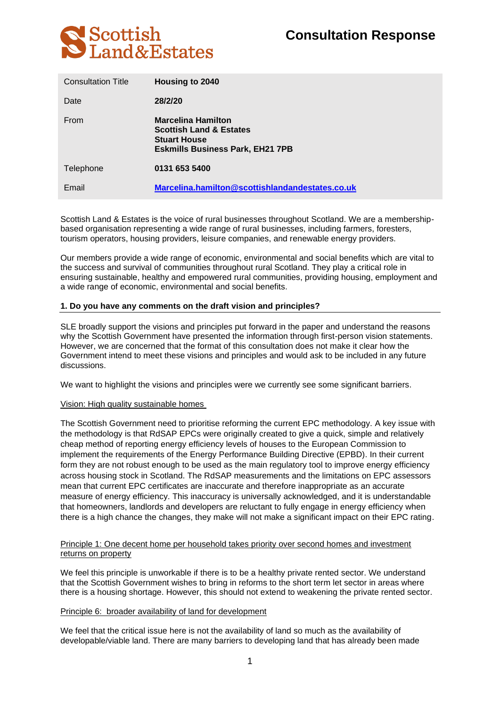

| <b>Consultation Title</b> | Housing to 2040                                                                                                                   |
|---------------------------|-----------------------------------------------------------------------------------------------------------------------------------|
| Date                      | 28/2/20                                                                                                                           |
| From                      | <b>Marcelina Hamilton</b><br><b>Scottish Land &amp; Estates</b><br><b>Stuart House</b><br><b>Eskmills Business Park, EH21 7PB</b> |
| Telephone                 | 0131 653 5400                                                                                                                     |
| Email                     | Marcelina.hamilton@scottishlandandestates.co.uk                                                                                   |

Scottish Land & Estates is the voice of rural businesses throughout Scotland. We are a membershipbased organisation representing a wide range of rural businesses, including farmers, foresters, tourism operators, housing providers, leisure companies, and renewable energy providers.

Our members provide a wide range of economic, environmental and social benefits which are vital to the success and survival of communities throughout rural Scotland. They play a critical role in ensuring sustainable, healthy and empowered rural communities, providing housing, employment and a wide range of economic, environmental and social benefits.

# **1. Do you have any comments on the draft vision and principles?**

SLE broadly support the visions and principles put forward in the paper and understand the reasons why the Scottish Government have presented the information through first-person vision statements. However, we are concerned that the format of this consultation does not make it clear how the Government intend to meet these visions and principles and would ask to be included in any future discussions.

We want to highlight the visions and principles were we currently see some significant barriers.

### Vision: High quality sustainable homes

The Scottish Government need to prioritise reforming the current EPC methodology. A key issue with the methodology is that RdSAP EPCs were originally created to give a quick, simple and relatively cheap method of reporting energy efficiency levels of houses to the European Commission to implement the requirements of the Energy Performance Building Directive (EPBD). In their current form they are not robust enough to be used as the main regulatory tool to improve energy efficiency across housing stock in Scotland. The RdSAP measurements and the limitations on EPC assessors mean that current EPC certificates are inaccurate and therefore inappropriate as an accurate measure of energy efficiency. This inaccuracy is universally acknowledged, and it is understandable that homeowners, landlords and developers are reluctant to fully engage in energy efficiency when there is a high chance the changes, they make will not make a significant impact on their EPC rating.

## Principle 1: One decent home per household takes priority over second homes and investment returns on property

We feel this principle is unworkable if there is to be a healthy private rented sector. We understand that the Scottish Government wishes to bring in reforms to the short term let sector in areas where there is a housing shortage. However, this should not extend to weakening the private rented sector.

### Principle 6: broader availability of land for development

We feel that the critical issue here is not the availability of land so much as the availability of developable/viable land. There are many barriers to developing land that has already been made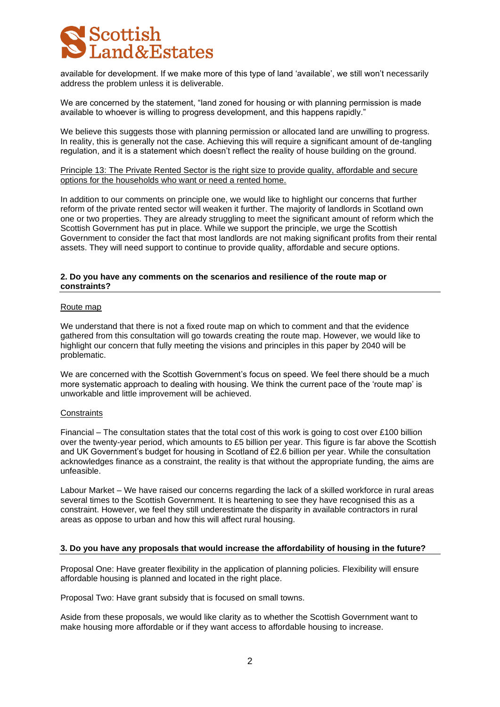

available for development. If we make more of this type of land 'available', we still won't necessarily address the problem unless it is deliverable.

We are concerned by the statement, "land zoned for housing or with planning permission is made available to whoever is willing to progress development, and this happens rapidly."

We believe this suggests those with planning permission or allocated land are unwilling to progress. In reality, this is generally not the case. Achieving this will require a significant amount of de-tangling regulation, and it is a statement which doesn't reflect the reality of house building on the ground.

Principle 13: The Private Rented Sector is the right size to provide quality, affordable and secure options for the households who want or need a rented home.

In addition to our comments on principle one, we would like to highlight our concerns that further reform of the private rented sector will weaken it further. The majority of landlords in Scotland own one or two properties. They are already struggling to meet the significant amount of reform which the Scottish Government has put in place. While we support the principle, we urge the Scottish Government to consider the fact that most landlords are not making significant profits from their rental assets. They will need support to continue to provide quality, affordable and secure options.

### **2. Do you have any comments on the scenarios and resilience of the route map or constraints?**

#### Route map

We understand that there is not a fixed route map on which to comment and that the evidence gathered from this consultation will go towards creating the route map. However, we would like to highlight our concern that fully meeting the visions and principles in this paper by 2040 will be problematic.

We are concerned with the Scottish Government's focus on speed. We feel there should be a much more systematic approach to dealing with housing. We think the current pace of the 'route map' is unworkable and little improvement will be achieved.

#### **Constraints**

Financial – The consultation states that the total cost of this work is going to cost over £100 billion over the twenty-year period, which amounts to £5 billion per year. This figure is far above the Scottish and UK Government's budget for housing in Scotland of £2.6 billion per year. While the consultation acknowledges finance as a constraint, the reality is that without the appropriate funding, the aims are unfeasible.

Labour Market – We have raised our concerns regarding the lack of a skilled workforce in rural areas several times to the Scottish Government. It is heartening to see they have recognised this as a constraint. However, we feel they still underestimate the disparity in available contractors in rural areas as oppose to urban and how this will affect rural housing.

### **3. Do you have any proposals that would increase the affordability of housing in the future?**

Proposal One: Have greater flexibility in the application of planning policies. Flexibility will ensure affordable housing is planned and located in the right place.

Proposal Two: Have grant subsidy that is focused on small towns.

Aside from these proposals, we would like clarity as to whether the Scottish Government want to make housing more affordable or if they want access to affordable housing to increase.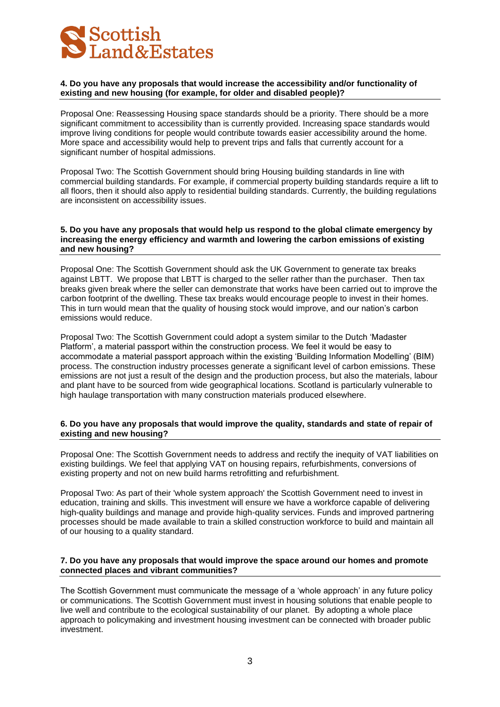

# **4. Do you have any proposals that would increase the accessibility and/or functionality of existing and new housing (for example, for older and disabled people)?**

Proposal One: Reassessing Housing space standards should be a priority. There should be a more significant commitment to accessibility than is currently provided. Increasing space standards would improve living conditions for people would contribute towards easier accessibility around the home. More space and accessibility would help to prevent trips and falls that currently account for a significant number of hospital admissions.

Proposal Two: The Scottish Government should bring Housing building standards in line with commercial building standards. For example, if commercial property building standards require a lift to all floors, then it should also apply to residential building standards. Currently, the building regulations are inconsistent on accessibility issues.

## **5. Do you have any proposals that would help us respond to the global climate emergency by increasing the energy efficiency and warmth and lowering the carbon emissions of existing and new housing?**

Proposal One: The Scottish Government should ask the UK Government to generate tax breaks against LBTT. We propose that LBTT is charged to the seller rather than the purchaser. Then tax breaks given break where the seller can demonstrate that works have been carried out to improve the carbon footprint of the dwelling. These tax breaks would encourage people to invest in their homes. This in turn would mean that the quality of housing stock would improve, and our nation's carbon emissions would reduce.

Proposal Two: The Scottish Government could adopt a system similar to the Dutch 'Madaster Platform', a material passport within the construction process. We feel it would be easy to accommodate a material passport approach within the existing 'Building Information Modelling' (BIM) process. The construction industry processes generate a significant level of carbon emissions. These emissions are not just a result of the design and the production process, but also the materials, labour and plant have to be sourced from wide geographical locations. Scotland is particularly vulnerable to high haulage transportation with many construction materials produced elsewhere.

### **6. Do you have any proposals that would improve the quality, standards and state of repair of existing and new housing?**

Proposal One: The Scottish Government needs to address and rectify the inequity of VAT liabilities on existing buildings. We feel that applying VAT on housing repairs, refurbishments, conversions of existing property and not on new build harms retrofitting and refurbishment.

Proposal Two: As part of their 'whole system approach' the Scottish Government need to invest in education, training and skills. This investment will ensure we have a workforce capable of delivering high-quality buildings and manage and provide high-quality services. Funds and improved partnering processes should be made available to train a skilled construction workforce to build and maintain all of our housing to a quality standard.

### **7. Do you have any proposals that would improve the space around our homes and promote connected places and vibrant communities?**

The Scottish Government must communicate the message of a 'whole approach' in any future policy or communications. The Scottish Government must invest in housing solutions that enable people to live well and contribute to the ecological sustainability of our planet. By adopting a whole place approach to policymaking and investment housing investment can be connected with broader public investment.